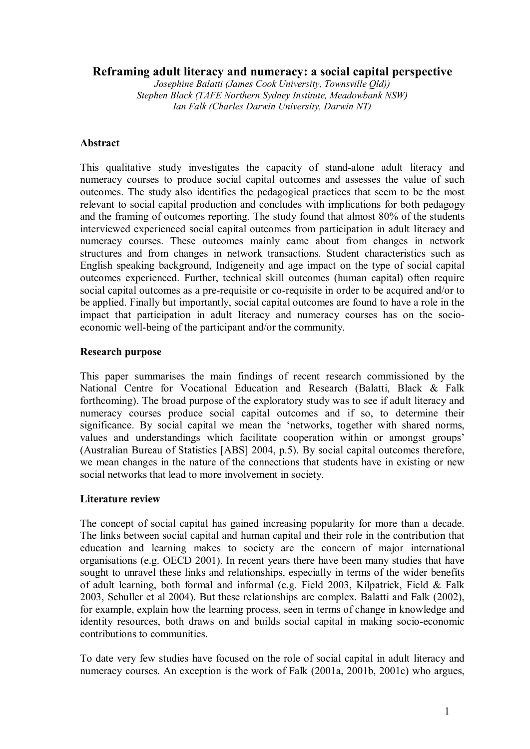# **Reframing adult literacy and numeracy: a social capital perspective**

*Josephine Balatti (James Cook University, Townsville Qld)) Stephen Black (TAFE Northern Sydney Institute, Meadowbank NSW) Ian Falk (Charles Darwin University, Darwin NT)*

## **Abstract**

This qualitative study investigates the capacity of stand-alone adult literacy and numeracy courses to produce social capital outcomes and assesses the value of such outcomes. The study also identifies the pedagogical practices that seem to be the most relevant to social capital production and concludes with implications for both pedagogy and the framing of outcomes reporting. The study found that almost 80% of the students interviewed experienced social capital outcomes from participation in adult literacy and numeracy courses. These outcomes mainly came about from changes in network structures and from changes in network transactions. Student characteristics such as English speaking background, Indigeneity and age impact on the type of social capital outcomes experienced. Further, technical skill outcomes (human capital) often require social capital outcomes as a pre-requisite or co-requisite in order to be acquired and/or to be applied. Finally but importantly, social capital outcomes are found to have a role in the impact that participation in adult literacy and numeracy courses has on the socio economic well-being of the participant and/or the community.

## **Research purpose**

This paper summarises the main findings of recent research commissioned by the National Centre for Vocational Education and Research (Balatti, Black & Falk forthcoming). The broad purpose of the exploratory study was to see if adult literacy and numeracy courses produce social capital outcomes and if so, to determine their significance. By social capital we mean the 'networks, together with shared norms, values and understandings which facilitate cooperation within or amongst groups' (Australian Bureau of Statistics [ABS] 2004, p.5). By social capital outcomes therefore, we mean changes in the nature of the connections that students have in existing or new social networks that lead to more involvement in society.

# **Literature review**

The concept of social capital has gained increasing popularity for more than a decade. The links between social capital and human capital and their role in the contribution that education and learning makes to society are the concern of major international organisations (e.g. OECD 2001). In recent years there have been many studies that have sought to unravel these links and relationships, especially in terms of the wider benefits of adult learning, both formal and informal (e.g. Field 2003, Kilpatrick, Field & Falk 2003, Schuller et al 2004). But these relationships are complex. Balatti and Falk (2002), for example, explain how the learning process, seen in terms of change in knowledge and identity resources, both draws on and builds social capital in making socio-economic contributions to communities.

To date very few studies have focused on the role of social capital in adult literacy and numeracy courses. An exception is the work of Falk (2001a, 2001b, 2001c) who argues,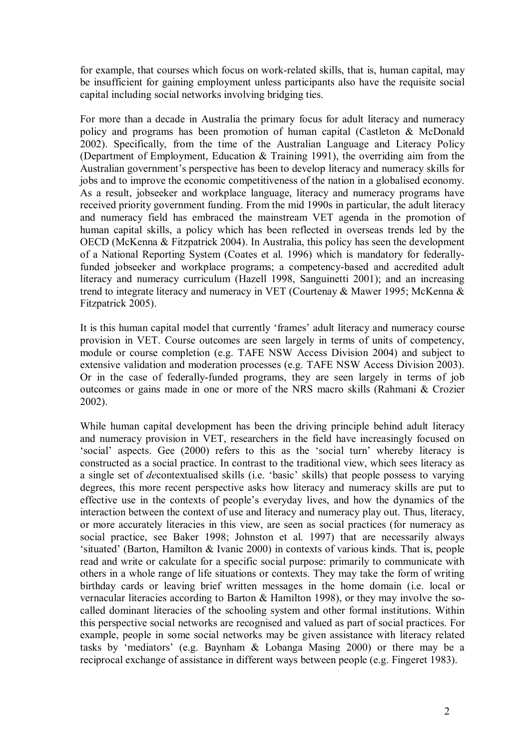for example, that courses which focus on work-related skills, that is, human capital, may be insufficient for gaining employment unless participants also have the requisite social capital including social networks involving bridging ties.

For more than a decade in Australia the primary focus for adult literacy and numeracy policy and programs has been promotion of human capital (Castleton & McDonald 2002). Specifically, from the time of the Australian Language and Literacy Policy (Department of Employment, Education & Training 1991), the overriding aim from the Australian government's perspective has been to develop literacy and numeracy skills for jobs and to improve the economic competitiveness of the nation in a globalised economy. As a result, jobseeker and workplace language, literacy and numeracy programs have received priority government funding. From the mid 1990s in particular, the adult literacy and numeracy field has embraced the mainstream VET agenda in the promotion of human capital skills, a policy which has been reflected in overseas trends led by the OECD (McKenna & Fitzpatrick 2004). In Australia, this policy has seen the development of a National Reporting System (Coates et al. 1996) which is mandatory for federallyfunded jobseeker and workplace programs; a competency-based and accredited adult literacy and numeracy curriculum (Hazell 1998, Sanguinetti 2001); and an increasing trend to integrate literacy and numeracy in VET (Courtenay & Mawer 1995; McKenna & Fitzpatrick 2005).

It is this human capital model that currently 'frames' adult literacy and numeracy course provision in VET. Course outcomes are seen largely in terms of units of competency, module or course completion (e.g. TAFE NSW Access Division 2004) and subject to extensive validation and moderation processes (e.g. TAFE NSW Access Division 2003). Or in the case of federally-funded programs, they are seen largely in terms of job outcomes or gains made in one or more of the NRS macro skills (Rahmani & Crozier 2002).

While human capital development has been the driving principle behind adult literacy and numeracy provision in VET, researchers in the field have increasingly focused on 'social' aspects. Gee (2000) refers to this as the 'social turn' whereby literacy is constructed as a social practice. In contrast to the traditional view, which sees literacy as a single set of *de*contextualised skills (i.e. 'basic' skills) that people possess to varying degrees, this more recent perspective asks how literacy and numeracy skills are put to effective use in the contexts of people's everyday lives, and how the dynamics of the interaction between the context of use and literacy and numeracy play out. Thus, literacy, or more accurately literacies in this view, are seen as social practices (for numeracy as social practice, see Baker 1998; Johnston et al. 1997) that are necessarily always 'situated' (Barton, Hamilton & Ivanic 2000) in contexts of various kinds. That is, people read and write or calculate for a specific social purpose: primarily to communicate with others in a whole range of life situations or contexts. They may take the form of writing birthday cards or leaving brief written messages in the home domain (i.e. local or vernacular literacies according to Barton & Hamilton 1998), or they may involve the so called dominant literacies of the schooling system and other formal institutions. Within this perspective social networks are recognised and valued as part of social practices. For example, people in some social networks may be given assistance with literacy related tasks by 'mediators' (e.g. Baynham & Lobanga Masing 2000) or there may be a reciprocal exchange of assistance in different ways between people (e.g. Fingeret 1983).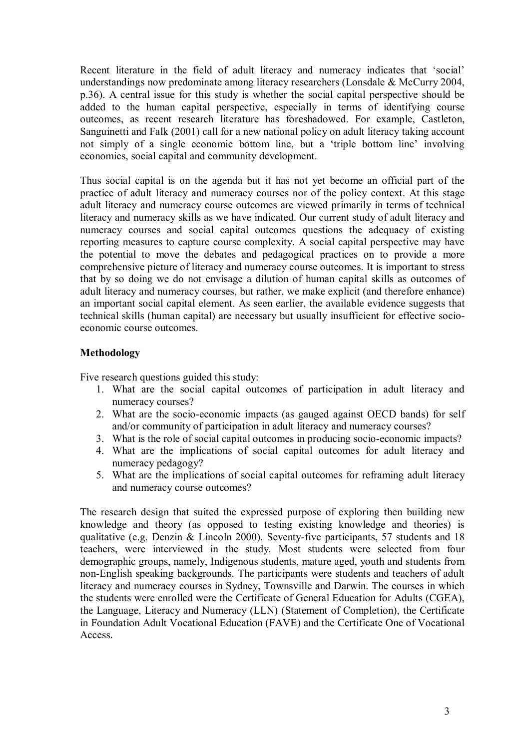Recent literature in the field of adult literacy and numeracy indicates that 'social' understandings now predominate among literacy researchers (Lonsdale & McCurry 2004, p.36). A central issue for this study is whether the social capital perspective should be added to the human capital perspective, especially in terms of identifying course outcomes, as recent research literature has foreshadowed. For example, Castleton, Sanguinetti and Falk (2001) call for a new national policy on adult literacy taking account not simply of a single economic bottom line, but a 'triple bottom line' involving economics, social capital and community development.

Thus social capital is on the agenda but it has not yet become an official part of the practice of adult literacy and numeracy courses nor of the policy context. At this stage adult literacy and numeracy course outcomes are viewed primarily in terms of technical literacy and numeracy skills as we have indicated. Our current study of adult literacy and numeracy courses and social capital outcomes questions the adequacy of existing reporting measures to capture course complexity. A social capital perspective may have the potential to move the debates and pedagogical practices on to provide a more comprehensive picture of literacy and numeracy course outcomes. It is important to stress that by so doing we do not envisage a dilution of human capital skills as outcomes of adult literacy and numeracy courses, but rather, we make explicit (and therefore enhance) an important social capital element. As seen earlier, the available evidence suggests that technical skills (human capital) are necessary but usually insufficient for effective socio economic course outcomes.

## **Methodology**

Five research questions guided this study:

- 1. What are the social capital outcomes of participation in adult literacy and numeracy courses?
- 2. What are the socio-economic impacts (as gauged against OECD bands) for self and/or community of participation in adult literacy and numeracy courses?
- 3. What is the role of social capital outcomes in producing socio-economic impacts?
- 4. What are the implications of social capital outcomes for adult literacy and numeracy pedagogy?
- 5. What are the implications of social capital outcomes for reframing adult literacy and numeracy course outcomes?

The research design that suited the expressed purpose of exploring then building new knowledge and theory (as opposed to testing existing knowledge and theories) is qualitative (e.g. Denzin  $& Lincoln 2000$ ). Seventy-five participants, 57 students and 18 teachers, were interviewed in the study. Most students were selected from four demographic groups, namely, Indigenous students, mature aged, youth and students from nonEnglish speaking backgrounds. The participants were students and teachers of adult literacy and numeracy courses in Sydney, Townsville and Darwin. The courses in which the students were enrolled were the Certificate of General Education for Adults (CGEA), the Language, Literacy and Numeracy (LLN) (Statement of Completion), the Certificate in Foundation Adult Vocational Education (FAVE) and the Certificate One of Vocational Access.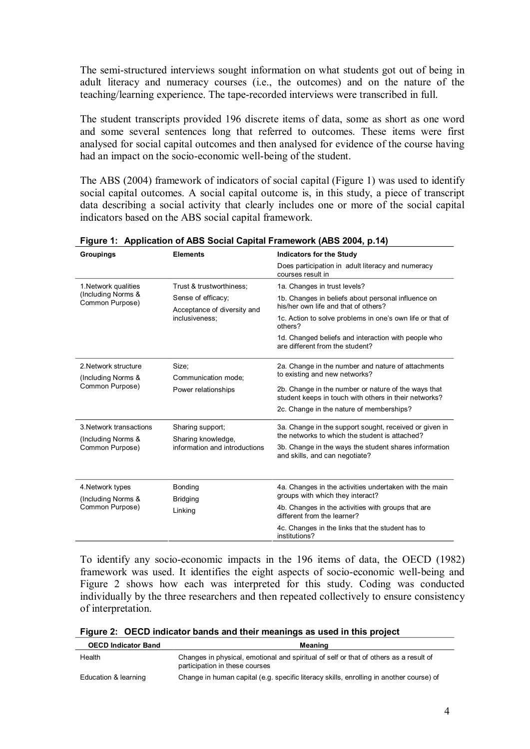The semi-structured interviews sought information on what students got out of being in adult literacy and numeracy courses (i.e., the outcomes) and on the nature of the teaching/learning experience. The tape-recorded interviews were transcribed in full.

The student transcripts provided 196 discrete items of data, some as short as one word and some several sentences long that referred to outcomes. These items were first analysed for social capital outcomes and then analysed for evidence of the course having had an impact on the socio-economic well-being of the student.

The ABS (2004) framework of indicators of social capital (Figure 1) was used to identify social capital outcomes. A social capital outcome is, in this study, a piece of transcript data describing a social activity that clearly includes one or more of the social capital indicators based on the ABS social capital framework.

| Groupings                                                        | <b>Elements</b>                                                         | <b>Indicators for the Study</b>                                                                              |
|------------------------------------------------------------------|-------------------------------------------------------------------------|--------------------------------------------------------------------------------------------------------------|
|                                                                  |                                                                         | Does participation in adult literacy and numeracy<br>courses result in                                       |
| 1. Network qualities                                             | Trust & trustworthiness:                                                | 1a. Changes in trust levels?                                                                                 |
| (Including Norms &<br>Common Purpose)                            | Sense of efficacy;<br>Acceptance of diversity and<br>inclusiveness:     | 1b. Changes in beliefs about personal influence on<br>his/her own life and that of others?                   |
|                                                                  |                                                                         | 1c. Action to solve problems in one's own life or that of<br>others?                                         |
|                                                                  |                                                                         | 1d. Changed beliefs and interaction with people who<br>are different from the student?                       |
| 2. Network structure<br>(Including Norms &<br>Common Purpose)    | Size:<br>Communication mode:<br>Power relationships                     | 2a. Change in the number and nature of attachments<br>to existing and new networks?                          |
|                                                                  |                                                                         | 2b. Change in the number or nature of the ways that<br>student keeps in touch with others in their networks? |
|                                                                  |                                                                         | 2c. Change in the nature of memberships?                                                                     |
| 3. Network transactions<br>(Including Norms &<br>Common Purpose) | Sharing support;<br>Sharing knowledge,<br>information and introductions | 3a. Change in the support sought, received or given in<br>the networks to which the student is attached?     |
|                                                                  |                                                                         | 3b. Change in the ways the student shares information<br>and skills, and can negotiate?                      |
|                                                                  |                                                                         |                                                                                                              |
| 4. Network types<br>(Including Norms &<br>Common Purpose)        | Bonding<br><b>Bridging</b><br>Linking                                   | 4a. Changes in the activities undertaken with the main                                                       |
|                                                                  |                                                                         | groups with which they interact?                                                                             |
|                                                                  |                                                                         | 4b. Changes in the activities with groups that are<br>different from the learner?                            |
|                                                                  |                                                                         | 4c. Changes in the links that the student has to<br>institutions?                                            |

**Figure 1: Application of ABS Social Capital Framework (ABS 2004, p.14)** 

To identify any socio-economic impacts in the 196 items of data, the OECD (1982) framework was used. It identifies the eight aspects of socio-economic well-being and Figure 2 shows how each was interpreted for this study. Coding was conducted individually by the three researchers and then repeated collectively to ensure consistency of interpretation.

| <b>OECD Indicator Band</b> | Meaning                                                                                                                 |
|----------------------------|-------------------------------------------------------------------------------------------------------------------------|
| Health                     | Changes in physical, emotional and spiritual of self or that of others as a result of<br>participation in these courses |
| Education & learning       | Change in human capital (e.g. specific literacy skills, enrolling in another course) of                                 |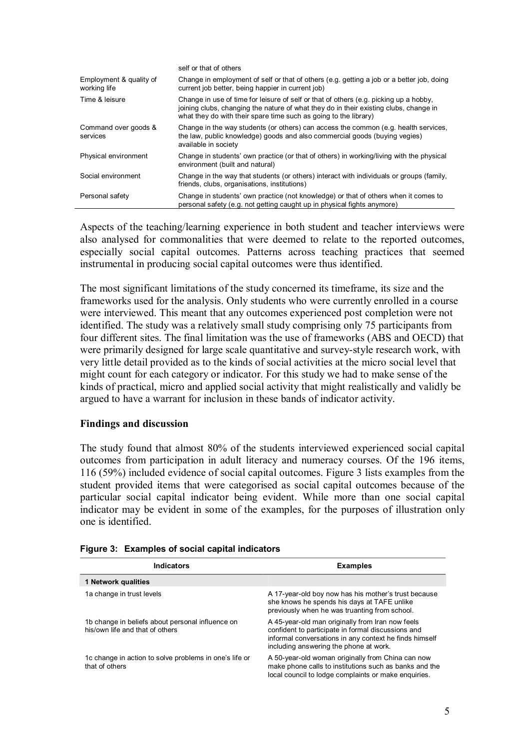|                                         | self or that of others                                                                                                                                                                                                                             |
|-----------------------------------------|----------------------------------------------------------------------------------------------------------------------------------------------------------------------------------------------------------------------------------------------------|
| Employment & quality of<br>working life | Change in employment of self or that of others (e.g. getting a job or a better job, doing<br>current job better, being happier in current job)                                                                                                     |
| Time & leisure                          | Change in use of time for leisure of self or that of others (e.g. picking up a hobby,<br>joining clubs, changing the nature of what they do in their existing clubs, change in<br>what they do with their spare time such as going to the library) |
| Command over goods &<br>services        | Change in the way students (or others) can access the common (e.g. health services,<br>the law, public knowledge) goods and also commercial goods (buying vegies)<br>available in society                                                          |
| Physical environment                    | Change in students' own practice (or that of others) in working/living with the physical<br>environment (built and natural)                                                                                                                        |
| Social environment                      | Change in the way that students (or others) interact with individuals or groups (family,<br>friends, clubs, organisations, institutions)                                                                                                           |
| Personal safety                         | Change in students' own practice (not knowledge) or that of others when it comes to<br>personal safety (e.g. not getting caught up in physical fights anymore)                                                                                     |

Aspects of the teaching/learning experience in both student and teacher interviews were also analysed for commonalities that were deemed to relate to the reported outcomes, especially social capital outcomes. Patterns across teaching practices that seemed instrumental in producing social capital outcomes were thus identified.

The most significant limitations of the study concerned its timeframe, its size and the frameworks used for the analysis. Only students who were currently enrolled in a course were interviewed. This meant that any outcomes experienced post completion were not identified. The study was a relatively small study comprising only 75 participants from four different sites. The final limitation was the use of frameworks (ABS and OECD) that were primarily designed for large scale quantitative and survey-style research work, with very little detail provided as to the kinds of social activities at the micro social level that might count for each category or indicator. For this study we had to make sense of the kinds of practical, micro and applied social activity that might realistically and validly be argued to have a warrant for inclusion in these bands of indicator activity.

#### **Findings and discussion**

The study found that almost 80% of the students interviewed experienced social capital outcomes from participation in adult literacy and numeracy courses. Of the 196 items, 116 (59%) included evidence of social capital outcomes. Figure 3 lists examples from the student provided items that were categorised as social capital outcomes because of the particular social capital indicator being evident. While more than one social capital indicator may be evident in some of the examples, for the purposes of illustration only one is identified.

| Indicators                                                                          | <b>Examples</b>                                                                                                                                                                                            |
|-------------------------------------------------------------------------------------|------------------------------------------------------------------------------------------------------------------------------------------------------------------------------------------------------------|
| 1 Network qualities                                                                 |                                                                                                                                                                                                            |
| 1a change in trust levels                                                           | A 17-year-old boy now has his mother's trust because<br>she knows he spends his days at TAFE unlike<br>previously when he was truanting from school.                                                       |
| 1b change in beliefs about personal influence on<br>his/own life and that of others | A 45-year-old man originally from Iran now feels<br>confident to participate in formal discussions and<br>informal conversations in any context he finds himself<br>including answering the phone at work. |
| 1c change in action to solve problems in one's life or<br>that of others            | A 50-year-old woman originally from China can now<br>make phone calls to institutions such as banks and the<br>local council to lodge complaints or make enquiries.                                        |

#### **Figure 3: Examples of social capital indicators**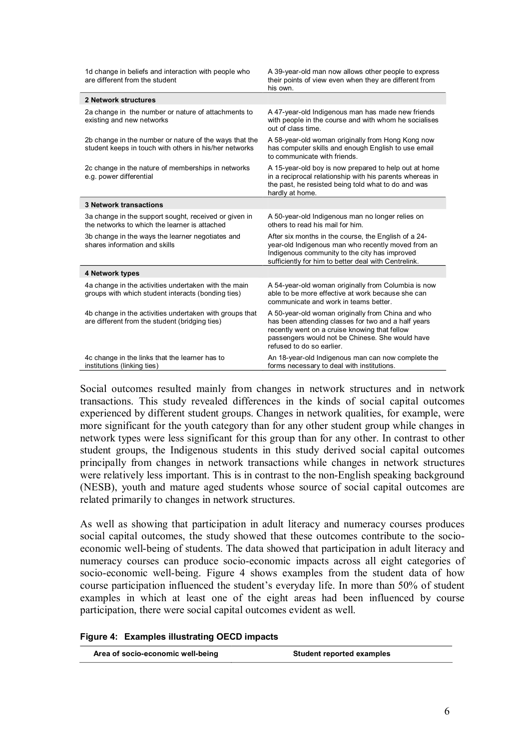| 1d change in beliefs and interaction with people who<br>are different from the student                           | A 39-year-old man now allows other people to express<br>their points of view even when they are different from<br>his own.                                                                                                                |
|------------------------------------------------------------------------------------------------------------------|-------------------------------------------------------------------------------------------------------------------------------------------------------------------------------------------------------------------------------------------|
| 2 Network structures                                                                                             |                                                                                                                                                                                                                                           |
| 2a change in the number or nature of attachments to<br>existing and new networks                                 | A 47-year-old Indigenous man has made new friends<br>with people in the course and with whom he socialises<br>out of class time.                                                                                                          |
| 2b change in the number or nature of the ways that the<br>student keeps in touch with others in his/her networks | A 58-year-old woman originally from Hong Kong now<br>has computer skills and enough English to use email<br>to communicate with friends.                                                                                                  |
| 2c change in the nature of memberships in networks<br>e.g. power differential                                    | A 15-year-old boy is now prepared to help out at home<br>in a reciprocal relationship with his parents whereas in<br>the past, he resisted being told what to do and was<br>hardly at home.                                               |
| <b>3 Network transactions</b>                                                                                    |                                                                                                                                                                                                                                           |
| 3a change in the support sought, received or given in<br>the networks to which the learner is attached           | A 50-year-old Indigenous man no longer relies on<br>others to read his mail for him.                                                                                                                                                      |
| 3b change in the ways the learner negotiates and<br>shares information and skills                                | After six months in the course, the English of a 24-<br>year-old Indigenous man who recently moved from an<br>Indigenous community to the city has improved<br>sufficiently for him to better deal with Centrelink.                       |
| 4 Network types                                                                                                  |                                                                                                                                                                                                                                           |
| 4a change in the activities undertaken with the main<br>groups with which student interacts (bonding ties)       | A 54-year-old woman originally from Columbia is now<br>able to be more effective at work because she can<br>communicate and work in teams better.                                                                                         |
| 4b change in the activities undertaken with groups that<br>are different from the student (bridging ties)        | A 50-year-old woman originally from China and who<br>has been attending classes for two and a half years<br>recently went on a cruise knowing that fellow<br>passengers would not be Chinese. She would have<br>refused to do so earlier. |
| 4c change in the links that the learner has to<br>institutions (linking ties)                                    | An 18-year-old Indigenous man can now complete the<br>forms necessary to deal with institutions.                                                                                                                                          |

Social outcomes resulted mainly from changes in network structures and in network transactions. This study revealed differences in the kinds of social capital outcomes experienced by different student groups. Changes in network qualities, for example, were more significant for the youth category than for any other student group while changes in network types were less significant for this group than for any other. In contrast to other student groups, the Indigenous students in this study derived social capital outcomes principally from changes in network transactions while changes in network structures were relatively less important. This is in contrast to the non-English speaking background (NESB), youth and mature aged students whose source of social capital outcomes are related primarily to changes in network structures.

As well as showing that participation in adult literacy and numeracy courses produces social capital outcomes, the study showed that these outcomes contribute to the socio economic well-being of students. The data showed that participation in adult literacy and numeracy courses can produce socio-economic impacts across all eight categories of socio-economic well-being. Figure 4 shows examples from the student data of how course participation influenced the student's everyday life. In more than 50% of student examples in which at least one of the eight areas had been influenced by course participation, there were social capital outcomes evident as well.

|  | Figure 4: Examples illustrating OECD impacts |  |
|--|----------------------------------------------|--|
|--|----------------------------------------------|--|

| Area of socio-economic well-being | <b>Student reported examples</b> |
|-----------------------------------|----------------------------------|
|-----------------------------------|----------------------------------|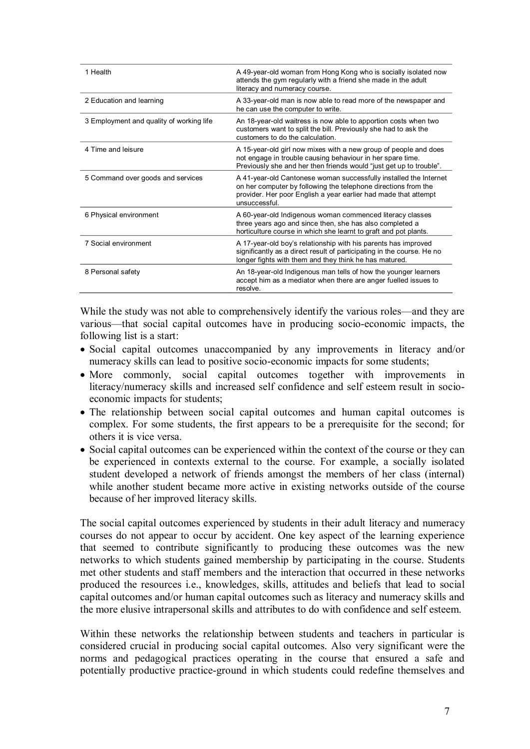| 1 Health                                 | A 49-year-old woman from Hong Kong who is socially isolated now<br>attends the gym regularly with a friend she made in the adult<br>literacy and numeracy course.                                                       |
|------------------------------------------|-------------------------------------------------------------------------------------------------------------------------------------------------------------------------------------------------------------------------|
| 2 Education and learning                 | A 33-year-old man is now able to read more of the newspaper and<br>he can use the computer to write.                                                                                                                    |
| 3 Employment and quality of working life | An 18-year-old waitress is now able to apportion costs when two<br>customers want to split the bill. Previously she had to ask the<br>customers to do the calculation.                                                  |
| 4 Time and leisure                       | A 15-year-old girl now mixes with a new group of people and does<br>not engage in trouble causing behaviour in her spare time.<br>Previously she and her then friends would "just get up to trouble".                   |
| 5 Command over goods and services        | A 41-year-old Cantonese woman successfully installed the Internet<br>on her computer by following the telephone directions from the<br>provider. Her poor English a year earlier had made that attempt<br>unsuccessful. |
| 6 Physical environment                   | A 60-year-old Indigenous woman commenced literacy classes<br>three years ago and since then, she has also completed a<br>horticulture course in which she learnt to graft and pot plants.                               |
| 7 Social environment                     | A 17-year-old boy's relationship with his parents has improved<br>significantly as a direct result of participating in the course. He no<br>longer fights with them and they think he has matured.                      |
| 8 Personal safety                        | An 18-year-old Indigenous man tells of how the younger learners<br>accept him as a mediator when there are anger fuelled issues to<br>resolve.                                                                          |

While the study was not able to comprehensively identify the various roles—and they are various—that social capital outcomes have in producing socio-economic impacts, the following list is a start:

- · Social capital outcomes unaccompanied by any improvements in literacy and/or numeracy skills can lead to positive socio-economic impacts for some students;
- · More commonly, social capital outcomes together with improvements in literacy/numeracy skills and increased self confidence and self esteem result in socio economic impacts for students;
- · The relationship between social capital outcomes and human capital outcomes is complex. For some students, the first appears to be a prerequisite for the second; for others it is vice versa.
- · Social capital outcomes can be experienced within the context of the course or they can be experienced in contexts external to the course. For example, a socially isolated student developed a network of friends amongst the members of her class (internal) while another student became more active in existing networks outside of the course because of her improved literacy skills.

The social capital outcomes experienced by students in their adult literacy and numeracy courses do not appear to occur by accident. One key aspect of the learning experience that seemed to contribute significantly to producing these outcomes was the new networks to which students gained membership by participating in the course. Students met other students and staff members and the interaction that occurred in these networks produced the resources i.e., knowledges, skills, attitudes and beliefs that lead to social capital outcomes and/or human capital outcomes such as literacy and numeracy skills and the more elusive intrapersonal skills and attributes to do with confidence and self esteem.

Within these networks the relationship between students and teachers in particular is considered crucial in producing social capital outcomes. Also very significant were the norms and pedagogical practices operating in the course that ensured a safe and potentially productive practice-ground in which students could redefine themselves and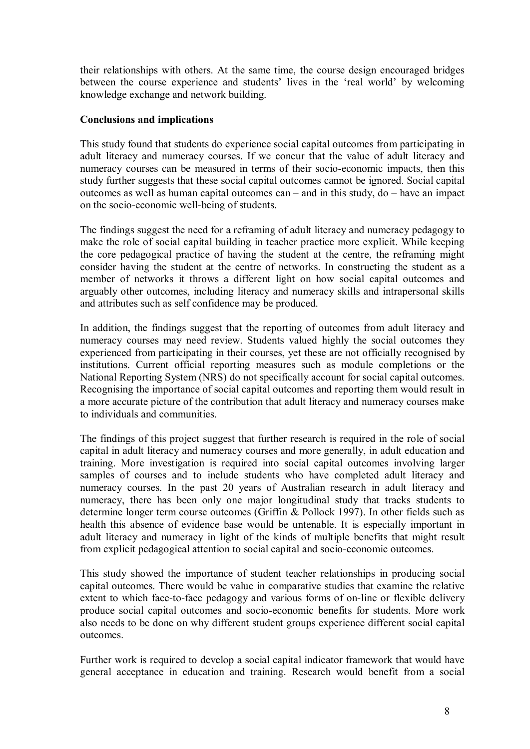their relationships with others. At the same time, the course design encouraged bridges between the course experience and students' lives in the 'real world' by welcoming knowledge exchange and network building.

## **Conclusions and implications**

This study found that students do experience social capital outcomes from participating in adult literacy and numeracy courses. If we concur that the value of adult literacy and numeracy courses can be measured in terms of their socio-economic impacts, then this study further suggests that these social capital outcomes cannot be ignored. Social capital outcomes as well as human capital outcomes can – and in this study, do – have an impact on the socio-economic well-being of students.

The findings suggest the need for a reframing of adult literacy and numeracy pedagogy to make the role of social capital building in teacher practice more explicit. While keeping the core pedagogical practice of having the student at the centre, the reframing might consider having the student at the centre of networks. In constructing the student as a member of networks it throws a different light on how social capital outcomes and arguably other outcomes, including literacy and numeracy skills and intrapersonal skills and attributes such as self confidence may be produced.

In addition, the findings suggest that the reporting of outcomes from adult literacy and numeracy courses may need review. Students valued highly the social outcomes they experienced from participating in their courses, yet these are not officially recognised by institutions. Current official reporting measures such as module completions or the National Reporting System (NRS) do not specifically account for social capital outcomes. Recognising the importance of social capital outcomes and reporting them would result in a more accurate picture of the contribution that adult literacy and numeracy courses make to individuals and communities.

The findings of this project suggest that further research is required in the role of social capital in adult literacy and numeracy courses and more generally, in adult education and training. More investigation is required into social capital outcomes involving larger samples of courses and to include students who have completed adult literacy and numeracy courses. In the past 20 years of Australian research in adult literacy and numeracy, there has been only one major longitudinal study that tracks students to determine longer term course outcomes (Griffin & Pollock 1997). In other fields such as health this absence of evidence base would be untenable. It is especially important in adult literacy and numeracy in light of the kinds of multiple benefits that might result from explicit pedagogical attention to social capital and socio-economic outcomes.

This study showed the importance of student teacher relationships in producing social capital outcomes. There would be value in comparative studies that examine the relative extent to which face-to-face pedagogy and various forms of on-line or flexible delivery produce social capital outcomes and socio-economic benefits for students. More work also needs to be done on why different student groups experience different social capital outcomes.

Further work is required to develop a social capital indicator framework that would have general acceptance in education and training. Research would benefit from a social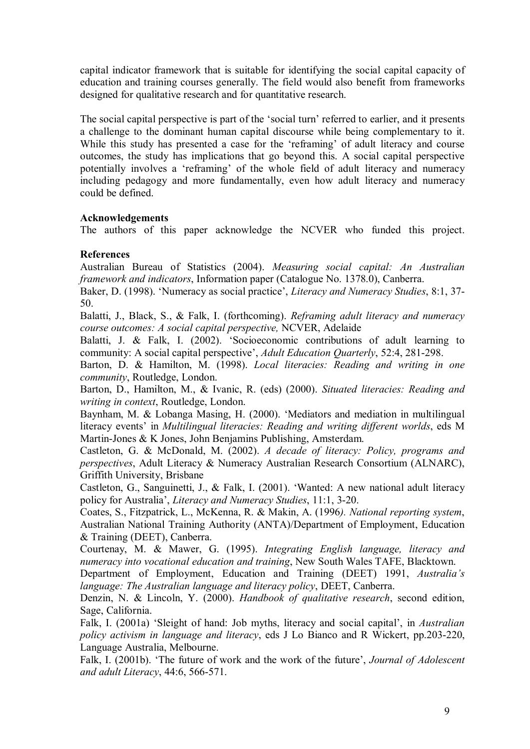capital indicator framework that is suitable for identifying the social capital capacity of education and training courses generally. The field would also benefit from frameworks designed for qualitative research and for quantitative research.

The social capital perspective is part of the 'social turn' referred to earlier, and it presents a challenge to the dominant human capital discourse while being complementary to it. While this study has presented a case for the 'reframing' of adult literacy and course outcomes, the study has implications that go beyond this. A social capital perspective potentially involves a 'reframing' of the whole field of adult literacy and numeracy including pedagogy and more fundamentally, even how adult literacy and numeracy could be defined.

## **Acknowledgements**

The authors of this paper acknowledge the NCVER who funded this project.

## **References**

Australian Bureau of Statistics (2004). *Measuring social capital: An Australian framework and indicators*, Information paper (Catalogue No. 1378.0), Canberra.

Baker, D. (1998). 'Numeracy as social practice', *Literacy and Numeracy Studies*, 8:1, 37 50.

Balatti, J., Black, S., & Falk, I. (forthcoming). *Reframing adult literacy and numeracy course outcomes: A social capital perspective,* NCVER, Adelaide

Balatti, J. & Falk, I. (2002). 'Socioeconomic contributions of adult learning to community: A social capital perspective', *Adult Education Quarterly*, 52:4, 281-298.

Barton, D. & Hamilton, M. (1998). *Local literacies: Reading and writing in one community*, Routledge, London.

Barton, D., Hamilton, M., & Ivanic, R. (eds) (2000). *Situated literacies: Reading and writing in context*, Routledge, London.

Baynham, M. & Lobanga Masing, H. (2000). 'Mediators and mediation in multilingual literacy events' in *Multilingual literacies: Reading and writing different worlds*, eds M Martin-Jones & K Jones, John Benjamins Publishing, Amsterdam.

Castleton, G. & McDonald, M. (2002). *A decade of literacy: Policy, programs and perspectives*, Adult Literacy & Numeracy Australian Research Consortium (ALNARC), Griffith University, Brisbane

Castleton, G., Sanguinetti, J., & Falk, I. (2001). 'Wanted: A new national adult literacy policy for Australia', *Literacy and Numeracy Studies*, 11:1, 320.

Coates, S., Fitzpatrick, L., McKenna, R. & Makin, A. (1996*). National reporting system*, Australian National Training Authority (ANTA)/Department of Employment, Education & Training (DEET), Canberra.

Courtenay, M. & Mawer, G. (1995). *Integrating English language, literacy and numeracy into vocational education and training*, New South Wales TAFE, Blacktown.

Department of Employment, Education and Training (DEET) 1991, *Australia's language: The Australian language and literacy policy*, DEET, Canberra.

Denzin, N. & Lincoln, Y. (2000). *Handbook of qualitative research*, second edition, Sage, California.

Falk, I. (2001a) 'Sleight of hand: Job myths, literacy and social capital', in *Australian policy activism in language and literacy*, eds J Lo Bianco and R Wickert, pp.203-220, Language Australia, Melbourne.

Falk, I. (2001b). 'The future of work and the work of the future', *Journal of Adolescent and adult Literacy*, 44:6, 566-571.